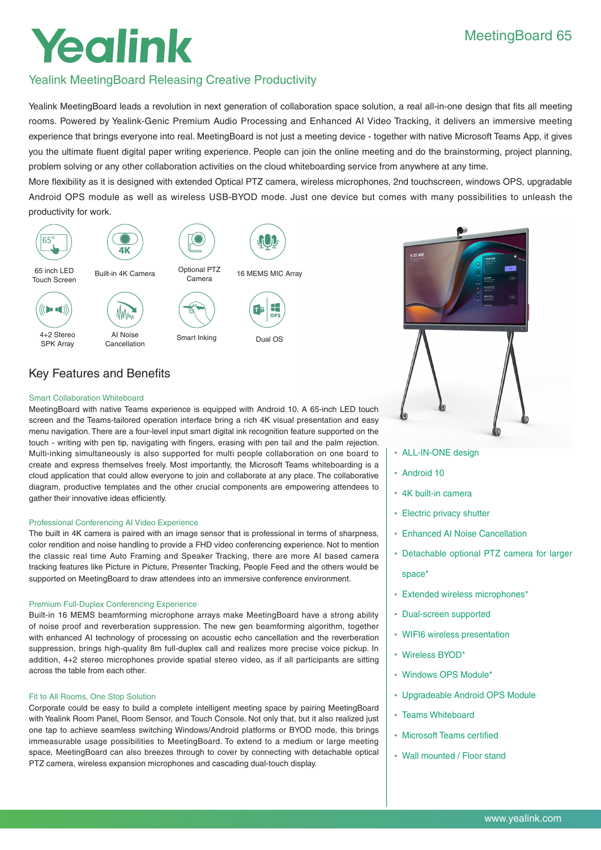# MeetingBoard 65

# Yealink

# Yealink MeetingBoard Releasing Creative Productivity

Yealink MeetingBoard leads a revolution in next generation of collaboration space solution, a real all-in-one design that fits all meeting rooms. Powered by Yealink-Genic Premium Audio Processing and Enhanced AI Video Tracking, it delivers an immersive meeting experience that brings everyone into real. MeetingBoard is not just a meeting device - together with native Microsoft Teams App, it gives you the ultimate fluent digital paper writing experience. People can join the online meeting and do the brainstorming, project planning, problem solving or any other collaboration activities on the cloud whiteboarding service from anywhere at any time.

More flexibility as it is designed with extended Optical PTZ camera, wireless microphones, 2nd touchscreen, windows OPS, upgradable Android OPS module as well as wireless USB-BYOD mode. Just one device but comes with many possibilities to unleash the productivity for work.





# Key Features and Benefits

# Smart Collaboration Whiteboard

MeetingBoard with native Teams experience is equipped with Android 10. A 65-inch LED touch screen and the Teams-tailored operation interface bring a rich 4K visual presentation and easy menu navigation. There are a four-level input smart digital ink recognition feature supported on the touch - writing with pen tip, navigating with fingers, erasing with pen tail and the palm rejection. Multi-inking simultaneously is also supported for multi people collaboration on one board to create and express themselves freely. Most importantly, the Microsoft Teams whiteboarding is a cloud application that could allow everyone to join and collaborate at any place. The collaborative diagram, productive templates and the other crucial components are empowering attendees to gather their innovative ideas efficiently.

# Professional Conferencing AI Video Experience

The built in 4K camera is paired with an image sensor that is professional in terms of sharpness, color rendition and noise handling to provide a FHD video conferencing experience. Not to mention the classic real time Auto Framing and Speaker Tracking, there are more AI based camera tracking features like Picture in Picture, Presenter Tracking, People Feed and the others would be supported on MeetingBoard to draw attendees into an immersive conference environment.

# Premium Full-Duplex Conferencing Experience

Built-in 16 MEMS beamforming microphone arrays make MeetingBoard have a strong ability of noise proof and reverberation suppression. The new gen beamforming algorithm, together with enhanced AI technology of processing on acoustic echo cancellation and the reverberation suppression, brings high-quality 8m full-duplex call and realizes more precise voice pickup. In addition, 4+2 stereo microphones provide spatial stereo video, as if all participants are sitting across the table from each other.

# Fit to All Rooms, One Stop Solution

Corporate could be easy to build a complete intelligent meeting space by pairing MeetingBoard with Yealink Room Panel, Room Sensor, and Touch Console. Not only that, but it also realized just one tap to achieve seamless switching Windows/Android platforms or BYOD mode, this brings immeasurable usage possibilities to MeetingBoard. To extend to a medium or large meeting space, MeetingBoard can also breezes through to cover by connecting with detachable optical PTZ camera, wireless expansion microphones and cascading dual-touch display.

- ALL-IN-ONE design
- Android 10
- 4K built-in camera
- Electric privacy shutter
- Enhanced AI Noise Cancellation
- Detachable optional PTZ camera for larger
	- space\*
- Extended wireless microphones\*
- Dual-screen supported
- WIFI6 wireless presentation
- Wireless BYOD\*
- Windows OPS Module\*
- Upgradeable Android OPS Module
- Teams Whiteboard
- Microsoft Teams certified
- Wall mounted / Floor stand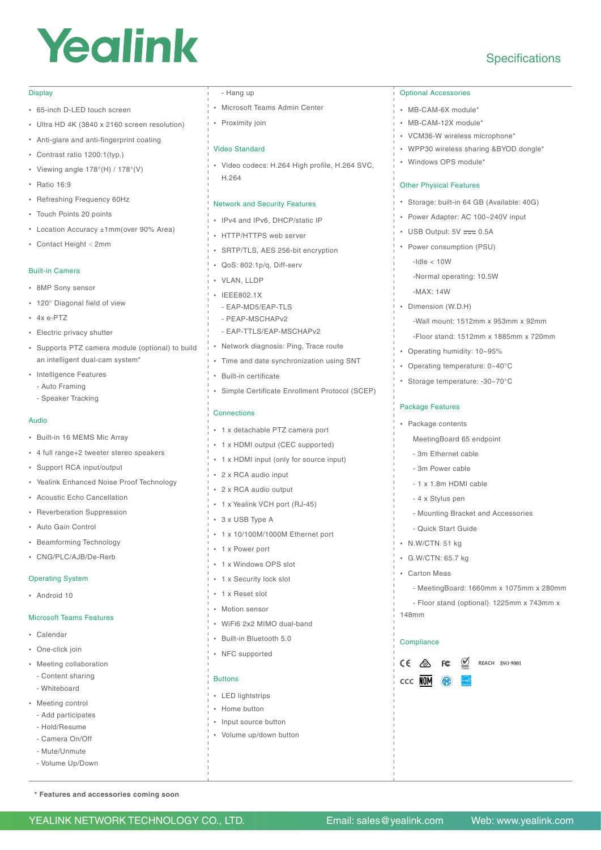# Yealink

# Display

- 65-inch D-LED touch screen
- Ultra HD 4K (3840 x 2160 screen resolution)
- Anti-glare and anti-fingerprint coating
- Contrast ratio 1200:1(typ.)
- Viewing angle 178°(H) / 178°(V)
- Ratio 16:9
- Refreshing Frequency 60Hz
- Touch Points 20 points
- Location Accuracy ±1mm(over 90% Area)
- Contact Height < 2mm

### Built-in Camera

- 8MP Sony sensor
- 120° Diagonal field of view
- $4x \triangle PTT$
- Electric privacy shutter
- Supports PTZ camera module (optional) to build an intelligent dual-cam system\*
- Intelligence Features
- Auto Framing
- Speaker Tracking

#### Audio

- Built-in 16 MEMS Mic Array
- 4 full range+2 tweeter stereo speakers
- Support RCA input/output
- Yealink Enhanced Noise Proof Technology
- Acoustic Echo Cancellation
- Reverberation Suppression
- Auto Gain Control
- Beamforming Technology
- CNG/PLC/AJB/De-Rerb

#### Operating System

• Android 10

#### Microsoft Teams Features

- **Calendar**
- One-click join
- Meeting collaboration
- Content sharing
- Whiteboard
- Meeting control
- Add participates
- Hold/Resume
- Camera On/Off - Mute/Unmute
- Volume Up/Down

**\* Features and accessories coming soon**

# - Hang up

- Microsoft Teams Admin Center
- Proximity join

# Video Standard

• Video codecs: H.264 High profile, H.264 SVC, H.264

# Network and Security Features

- IPv4 and IPv6, DHCP/static IP
- HTTP/HTTPS web server
- SRTP/TLS, AES 256-bit encryption
- QoS: 802.1p/q, Diff-serv
- VLAN, LLDP
- IEEE802.1X
	- EAP-MD5/EAP-TLS
	- PEAP-MSCHAPv2
	- EAP-TTLS/EAP-MSCHAPv2
- Network diagnosis: Ping, Trace route
- Time and date synchronization using SNT
- Built-in certificate
- Simple Certificate Enrollment Protocol (SCEP)

### Connections

- 1 x detachable PTZ camera port
- 1 x HDMI output (CEC supported)
- 1 x HDMI input (only for source input)
- 2 x RCA audio input
- 2 x RCA audio output
- 1 x Yealink VCH port (RJ-45)
- 3 x USB Type A
- 1 x 10/100M/1000M Ethernet port
- 1 x Power port
- 1 x Windows OPS slot
- 1 x Security lock slot
- 1 x Reset slot
- Motion sensor
- WiFi6 2x2 MIMO dual-band
- Built-in Bluetooth 5.0
- NFC supported

#### Buttons

- LED lightstrips
- Home button
- Input source button
- Volume up/down button

YEALINK NETWORK TECHNOLOGY CO., LTD. Email: sales@yealink.com Web: www.yealink.com

#### Optional Accessories

- MB-CAM-6X module\*
- MB-CAM-12X module\*
- VCM36-W wireless microphone\*
- WPP30 wireless sharing &BYOD dongle\*

**Specifications** 

• Windows OPS module\*

## Other Physical Features

- Storage: built-in 64 GB (Available: 40G)
- Power Adapter: AC 100~240V input
- USB Output:  $5V = 0.5A$
- Power consumption (PSU) -Idle < 10W -Normal operating: 10.5W
- -MAX: 14W

Package Features • Package contents

- Dimension (W.D.H) -Wall mount: 1512mm x 953mm x 92mm
	- -Floor stand: 1512mm x 1885mm x 720mm
- Operating humidity: 10~95% • Operating temperature: 0~40°C

• Storage temperature: -30~70°C

MeetingBoard 65 endpoint - 3m Ethernet cable - 3m Power cable - 1 x 1.8m HDMI cable - 4 x Stylus pen

- Quick Start Guide • N.W/CTN: 51 kg • G.W/CTN: 65.7 kg • Carton Meas

**FC** 

148mm

**Compliance** 

**CCC** NOM

 $CE \triangle$ 

- Mounting Bracket and Accessories

- MeetingBoard: 1660mm x 1075mm x 280mm - Floor stand (optional): 1225mm x 743mm x

**REACH ISO 9001**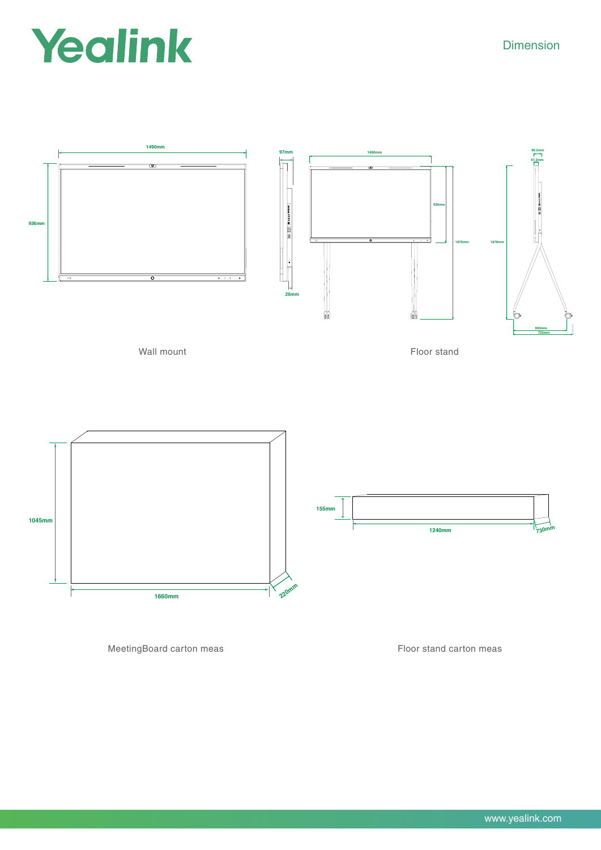# Yealink

Dimension



MeetingBoard carton meas Floor stand carton meas